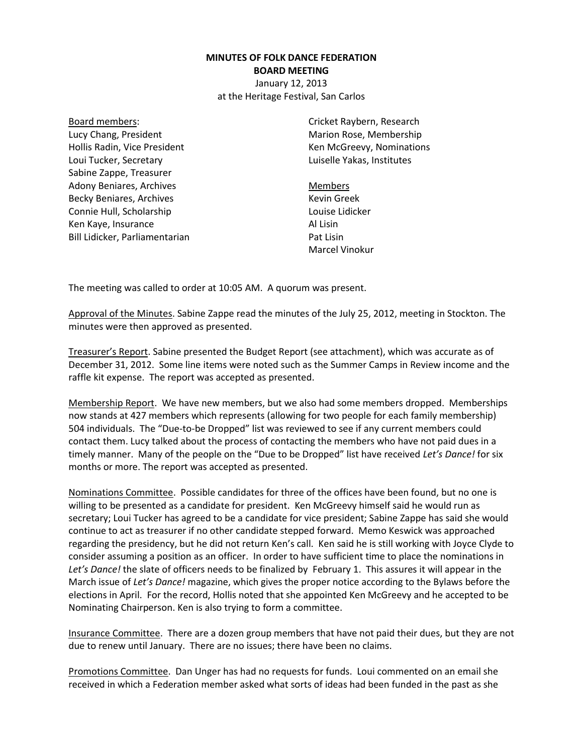## **MINUTES OF FOLK DANCE FEDERATION BOARD MEETING**

January 12, 2013 at the Heritage Festival, San Carlos

Board members: Lucy Chang, President Hollis Radin, Vice President Loui Tucker, Secretary Sabine Zappe, Treasurer Adony Beniares, Archives Becky Beniares, Archives Connie Hull, Scholarship Ken Kaye, Insurance Bill Lidicker, Parliamentarian Cricket Raybern, Research Marion Rose, Membership Ken McGreevy, Nominations Luiselle Yakas, Institutes

Members Kevin Greek Louise Lidicker Al Lisin Pat Lisin Marcel Vinokur

The meeting was called to order at 10:05 AM. A quorum was present.

Approval of the Minutes. Sabine Zappe read the minutes of the July 25, 2012, meeting in Stockton. The minutes were then approved as presented.

Treasurer's Report. Sabine presented the Budget Report (see attachment), which was accurate as of December 31, 2012. Some line items were noted such as the Summer Camps in Review income and the raffle kit expense. The report was accepted as presented.

Membership Report. We have new members, but we also had some members dropped. Memberships now stands at 427 members which represents (allowing for two people for each family membership) 504 individuals. The "Due-to-be Dropped" list was reviewed to see if any current members could contact them. Lucy talked about the process of contacting the members who have not paid dues in a timely manner. Many of the people on the "Due to be Dropped" list have received *Let's Dance!* for six months or more. The report was accepted as presented.

Nominations Committee. Possible candidates for three of the offices have been found, but no one is willing to be presented as a candidate for president. Ken McGreevy himself said he would run as secretary; Loui Tucker has agreed to be a candidate for vice president; Sabine Zappe has said she would continue to act as treasurer if no other candidate stepped forward. Memo Keswick was approached regarding the presidency, but he did not return Ken's call. Ken said he is still working with Joyce Clyde to consider assuming a position as an officer. In order to have sufficient time to place the nominations in *Let's Dance!* the slate of officers needs to be finalized by February 1. This assures it will appear in the March issue of *Let's Dance!* magazine, which gives the proper notice according to the Bylaws before the elections in April. For the record, Hollis noted that she appointed Ken McGreevy and he accepted to be Nominating Chairperson. Ken is also trying to form a committee.

Insurance Committee. There are a dozen group members that have not paid their dues, but they are not due to renew until January. There are no issues; there have been no claims.

Promotions Committee. Dan Unger has had no requests for funds. Loui commented on an email she received in which a Federation member asked what sorts of ideas had been funded in the past as she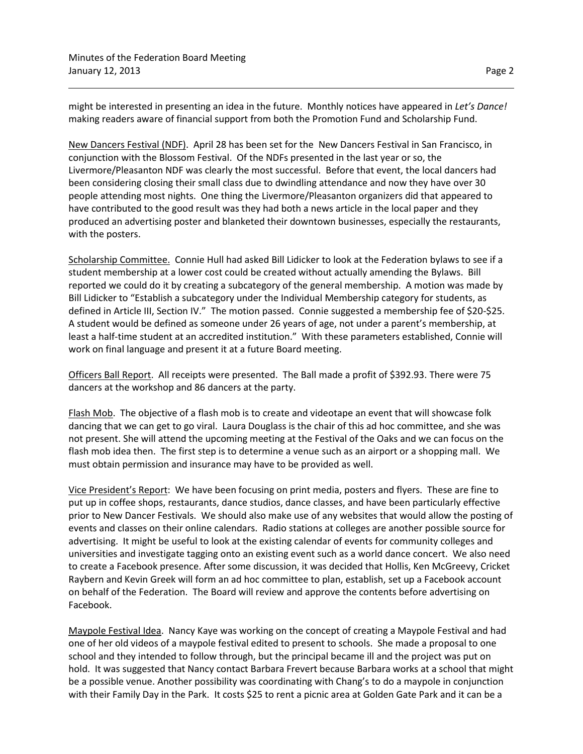might be interested in presenting an idea in the future. Monthly notices have appeared in *Let's Dance!*  making readers aware of financial support from both the Promotion Fund and Scholarship Fund.

New Dancers Festival (NDF). April 28 has been set for the New Dancers Festival in San Francisco, in conjunction with the Blossom Festival. Of the NDFs presented in the last year or so, the Livermore/Pleasanton NDF was clearly the most successful. Before that event, the local dancers had been considering closing their small class due to dwindling attendance and now they have over 30 people attending most nights. One thing the Livermore/Pleasanton organizers did that appeared to have contributed to the good result was they had both a news article in the local paper and they produced an advertising poster and blanketed their downtown businesses, especially the restaurants, with the posters.

Scholarship Committee. Connie Hull had asked Bill Lidicker to look at the Federation bylaws to see if a student membership at a lower cost could be created without actually amending the Bylaws. Bill reported we could do it by creating a subcategory of the general membership. A motion was made by Bill Lidicker to "Establish a subcategory under the Individual Membership category for students, as defined in Article III, Section IV." The motion passed. Connie suggested a membership fee of \$20-\$25. A student would be defined as someone under 26 years of age, not under a parent's membership, at least a half-time student at an accredited institution." With these parameters established, Connie will work on final language and present it at a future Board meeting.

Officers Ball Report. All receipts were presented. The Ball made a profit of \$392.93. There were 75 dancers at the workshop and 86 dancers at the party.

Flash Mob. The objective of a flash mob is to create and videotape an event that will showcase folk dancing that we can get to go viral. Laura Douglass is the chair of this ad hoc committee, and she was not present. She will attend the upcoming meeting at the Festival of the Oaks and we can focus on the flash mob idea then. The first step is to determine a venue such as an airport or a shopping mall. We must obtain permission and insurance may have to be provided as well.

Vice President's Report: We have been focusing on print media, posters and flyers. These are fine to put up in coffee shops, restaurants, dance studios, dance classes, and have been particularly effective prior to New Dancer Festivals. We should also make use of any websites that would allow the posting of events and classes on their online calendars. Radio stations at colleges are another possible source for advertising. It might be useful to look at the existing calendar of events for community colleges and universities and investigate tagging onto an existing event such as a world dance concert. We also need to create a Facebook presence. After some discussion, it was decided that Hollis, Ken McGreevy, Cricket Raybern and Kevin Greek will form an ad hoc committee to plan, establish, set up a Facebook account on behalf of the Federation. The Board will review and approve the contents before advertising on Facebook.

Maypole Festival Idea. Nancy Kaye was working on the concept of creating a Maypole Festival and had one of her old videos of a maypole festival edited to present to schools. She made a proposal to one school and they intended to follow through, but the principal became ill and the project was put on hold. It was suggested that Nancy contact Barbara Frevert because Barbara works at a school that might be a possible venue. Another possibility was coordinating with Chang's to do a maypole in conjunction with their Family Day in the Park. It costs \$25 to rent a picnic area at Golden Gate Park and it can be a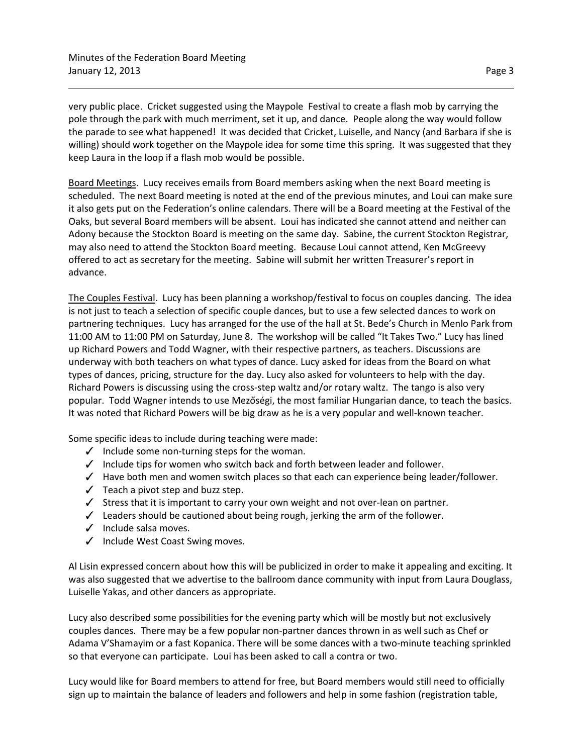very public place. Cricket suggested using the Maypole Festival to create a flash mob by carrying the pole through the park with much merriment, set it up, and dance. People along the way would follow the parade to see what happened! It was decided that Cricket, Luiselle, and Nancy (and Barbara if she is willing) should work together on the Maypole idea for some time this spring. It was suggested that they keep Laura in the loop if a flash mob would be possible.

Board Meetings. Lucy receives emails from Board members asking when the next Board meeting is scheduled. The next Board meeting is noted at the end of the previous minutes, and Loui can make sure it also gets put on the Federation's online calendars. There will be a Board meeting at the Festival of the Oaks, but several Board members will be absent. Loui has indicated she cannot attend and neither can Adony because the Stockton Board is meeting on the same day. Sabine, the current Stockton Registrar, may also need to attend the Stockton Board meeting. Because Loui cannot attend, Ken McGreevy offered to act as secretary for the meeting. Sabine will submit her written Treasurer's report in advance.

The Couples Festival. Lucy has been planning a workshop/festival to focus on couples dancing. The idea is not just to teach a selection of specific couple dances, but to use a few selected dances to work on partnering techniques. Lucy has arranged for the use of the hall at St. Bede's Church in Menlo Park from 11:00 AM to 11:00 PM on Saturday, June 8. The workshop will be called "It Takes Two." Lucy has lined up Richard Powers and Todd Wagner, with their respective partners, as teachers. Discussions are underway with both teachers on what types of dance. Lucy asked for ideas from the Board on what types of dances, pricing, structure for the day. Lucy also asked for volunteers to help with the day. Richard Powers is discussing using the cross-step waltz and/or rotary waltz. The tango is also very popular. Todd Wagner intends to use Mezőségi, the most familiar Hungarian dance, to teach the basics. It was noted that Richard Powers will be big draw as he is a very popular and well-known teacher.

Some specific ideas to include during teaching were made:

- $\checkmark$  Include some non-turning steps for the woman.
- Include tips for women who switch back and forth between leader and follower.
- $\checkmark$  Have both men and women switch places so that each can experience being leader/follower.
- $\checkmark$  Teach a pivot step and buzz step.
- $\checkmark$  Stress that it is important to carry your own weight and not over-lean on partner.
- $\checkmark$  Leaders should be cautioned about being rough, jerking the arm of the follower.
- $\checkmark$  Include salsa moves.
- $\checkmark$  Include West Coast Swing moves.

Al Lisin expressed concern about how this will be publicized in order to make it appealing and exciting. It was also suggested that we advertise to the ballroom dance community with input from Laura Douglass, Luiselle Yakas, and other dancers as appropriate.

Lucy also described some possibilities for the evening party which will be mostly but not exclusively couples dances. There may be a few popular non-partner dances thrown in as well such as Chef or Adama V'Shamayim or a fast Kopanica. There will be some dances with a two-minute teaching sprinkled so that everyone can participate. Loui has been asked to call a contra or two.

Lucy would like for Board members to attend for free, but Board members would still need to officially sign up to maintain the balance of leaders and followers and help in some fashion (registration table,